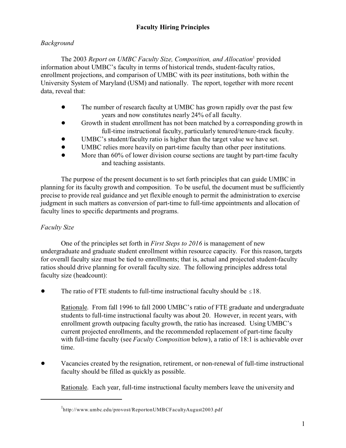# **Faculty Hiring Principles**

## *Background*

The 2003 Report on UMBC Faculty Size, Composition, and Allocation<sup>1</sup> provided information about UMBC's faculty in terms of historical trends, student-faculty ratios, enrollment projections, and comparison of UMBC with its peer institutions, both within the University System of Maryland (USM) and nationally. The report, together with more recent data, reveal that:

- The number of research faculty at UMBC has grown rapidly over the past few years and now constitutes nearly 24% of all faculty.
- Growth in student enrollment has not been matched by a corresponding growth in full-time instructional faculty, particularly tenured/tenure-track faculty.
- UMBC's student/faculty ratio is higher than the target value we have set.
- ! UMBC relies more heavily on part-time faculty than other peer institutions.
- More than 60% of lower division course sections are taught by part-time faculty and teaching assistants.

The purpose of the present document is to set forth principles that can guide UMBC in planning for its faculty growth and composition. To be useful, the document must be sufficiently precise to provide real guidance and yet flexible enough to permit the administration to exercise judgment in such matters as conversion of part-time to full-time appointments and allocation of faculty lines to specific departments and programs.

## *Faculty Size*

One of the principles set forth in *First Steps to 2016* is management of new undergraduate and graduate student enrollment within resource capacity. For this reason, targets for overall faculty size must be tied to enrollments; that is, actual and projected student-faculty ratios should drive planning for overall faculty size. The following principles address total faculty size (headcount):

• The ratio of FTE students to full-time instructional faculty should be  $\leq 18$ .

Rationale. From fall 1996 to fall 2000 UMBC's ratio of FTE graduate and undergraduate students to full-time instructional faculty was about 20. However, in recent years, with enrollment growth outpacing faculty growth, the ratio has increased. Using UMBC's current projected enrollments, and the recommended replacement of part-time faculty with full-time faculty (see *Faculty Composition* below), a ratio of 18:1 is achievable over time.

! Vacancies created by the resignation, retirement, or non-renewal of full-time instructional faculty should be filled as quickly as possible.

Rationale. Each year, full-time instructional faculty members leave the university and

<sup>&</sup>lt;sup>1</sup>http://www.umbc.edu/provost/ReportonUMBCFacultyAugust2003.pdf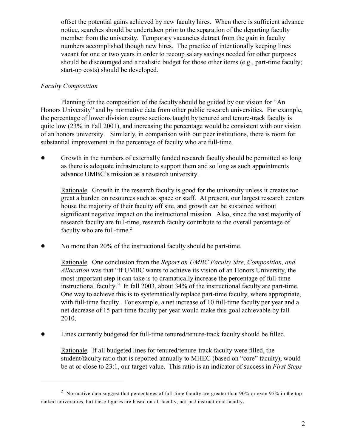offset the potential gains achieved by new faculty hires. When there is sufficient advance notice, searches should be undertaken prior to the separation of the departing faculty member from the university. Temporary vacancies detract from the gain in faculty numbers accomplished though new hires. The practice of intentionally keeping lines vacant for one or two years in order to recoup salary savings needed for other purposes should be discouraged and a realistic budget for those other items (e.g., part-time faculty; start-up costs) should be developed.

### *Faculty Composition*

Planning for the composition of the faculty should be guided by our vision for "An Honors University" and by normative data from other public research universities. For example, the percentage of lower division course sections taught by tenured and tenure-track faculty is quite low  $(23\%$  in Fall 2001), and increasing the percentage would be consistent with our vision of an honors university. Similarly, in comparison with our peer institutions, there is room for substantial improvement in the percentage of faculty who are full-time.

Growth in the numbers of externally funded research faculty should be permitted so long as there is adequate infrastructure to support them and so long as such appointments advance UMBC's mission as a research university.

Rationale. Growth in the research faculty is good for the university unless it creates too great a burden on resources such as space or staff. At present, our largest research centers house the majority of their faculty off site, and growth can be sustained without significant negative impact on the instructional mission. Also, since the vast majority of research faculty are full-time, research faculty contribute to the overall percentage of faculty who are full-time.<sup>2</sup>

No more than 20% of the instructional faculty should be part-time.

Rationale. One conclusion from the *Report on UMBC Faculty Size, Composition, and Allocation* was that "If UMBC wants to achieve its vision of an Honors University, the most important step it can take is to dramatically increase the percentage of full-time instructional faculty." In fall 2003, about 34% of the instructional faculty are part-time. One way to achieve this is to systematically replace part-time faculty, where appropriate, with full-time faculty. For example, a net increase of 10 full-time faculty per year and a net decrease of 15 part-time faculty per year would make this goal achievable by fall 2010.

• Lines currently budgeted for full-time tenured/tenure-track faculty should be filled.

Rationale. If all budgeted lines for tenured/tenure-track faculty were filled, the student/faculty ratio that is reported annually to MHEC (based on "core" faculty), would be at or close to 23:1, our target value. This ratio is an indicator of success in *First Steps*

<sup>&</sup>lt;sup>2</sup> Normative data suggest that percentages of full-time faculty are greater than 90% or even 95% in the top ranked universities, but these figures are based on all faculty, not just instructional faculty.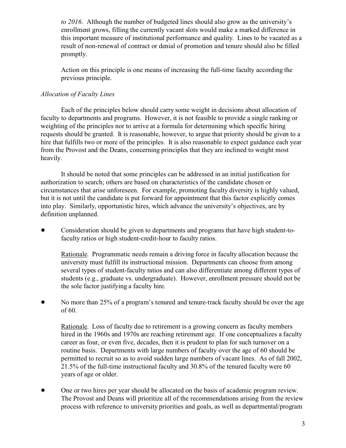*to 2016*. Although the number of budgeted lines should also grow as the university's enrollment grows, filling the currently vacant slots would make a marked difference in this important measure of institutional performance and quality. Lines to be vacated as a result of non-renewal of contract or denial of promotion and tenure should also be filled promptly.

Action on this principle is one means of increasing the full-time faculty according the previous principle.

### *Allocation of Faculty Lines*

Each of the principles below should carry some weight in decisions about allocation of faculty to departments and programs. However, it is not feasible to provide a single ranking or weighting of the principles nor to arrive at a formula for determining which specific hiring requests should be granted. It is reasonable, however, to argue that priority should be given to a hire that fulfills two or more of the principles. It is also reasonable to expect guidance each year from the Provost and the Deans, concerning principles that they are inclined to weight most heavily.

It should be noted that some principles can be addressed in an initial justification for authorization to search; others are based on characteristics of the candidate chosen or circumstances that arise unforeseen. For example, promoting faculty diversity is highly valued, but it is not until the candidate is put forward for appointment that this factor explicitly comes into play. Similarly, opportunistic hires, which advance the university's objectives, are by definition unplanned.

• Consideration should be given to departments and programs that have high student-tofaculty ratios or high student-credit-hour to faculty ratios.

Rationale. Programmatic needs remain a driving force in faculty allocation because the university must fulfill its instructional mission. Departments can choose from among several types of student-faculty ratios and can also differentiate among different types of students (e.g., graduate vs. undergraduate). However, enrollment pressure should not be the sole factor justifying a faculty hire.

• No more than 25% of a program's tenured and tenure-track faculty should be over the age of 60.

Rationale. Loss of faculty due to retirement is a growing concern as faculty members hired in the 1960s and 1970s are reaching retirement age. If one conceptualizes a faculty career as four, or even five, decades, then it is prudent to plan for such turnover on a routine basis. Departments with large numbers of faculty over the age of 60 should be permitted to recruit so as to avoid sudden large numbers of vacant lines. As of fall 2002, 21.5% of the full-time instructional faculty and 30.8% of the tenured faculty were 60 years of age or older.

• One or two hires per year should be allocated on the basis of academic program review. The Provost and Deans will prioritize all of the recommendations arising from the review process with reference to university priorities and goals, as well as departmental/program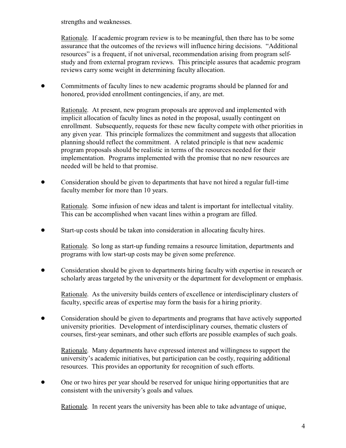strengths and weaknesses.

Rationale. If academic program review is to be meaningful, then there has to be some assurance that the outcomes of the reviews will influence hiring decisions. "Additional resources" is a frequent, if not universal, recommendation arising from program selfstudy and from external program reviews. This principle assures that academic program reviews carry some weight in determining faculty allocation.

! Commitments of faculty lines to new academic programs should be planned for and honored, provided enrollment contingencies, if any, are met.

Rationale. At present, new program proposals are approved and implemented with implicit allocation of faculty lines as noted in the proposal, usually contingent on enrollment. Subsequently, requests for these new faculty compete with other priorities in any given year. This principle formalizes the commitment and suggests that allocation planning should reflect the commitment. A related principle is that new academic program proposals should be realistic in terms of the resources needed for their implementation. Programs implemented with the promise that no new resources are needed will be held to that promise.

• Consideration should be given to departments that have not hired a regular full-time faculty member for more than 10 years.

Rationale. Some infusion of new ideas and talent is important for intellectual vitality. This can be accomplished when vacant lines within a program are filled.

! Start-up costs should be taken into consideration in allocating faculty hires.

Rationale. So long as start-up funding remains a resource limitation, departments and programs with low start-up costs may be given some preference.

! Consideration should be given to departments hiring faculty with expertise in research or scholarly areas targeted by the university or the department for development or emphasis.

Rationale. As the university builds centers of excellence or interdisciplinary clusters of faculty, specific areas of expertise may form the basis for a hiring priority.

! Consideration should be given to departments and programs that have actively supported university priorities. Development of interdisciplinary courses, thematic clusters of courses, first-year seminars, and other such efforts are possible examples of such goals.

Rationale. Many departments have expressed interest and willingness to support the university's academic initiatives, but participation can be costly, requiring additional resources. This provides an opportunity for recognition of such efforts.

• One or two hires per year should be reserved for unique hiring opportunities that are consistent with the university's goals and values.

Rationale. In recent years the university has been able to take advantage of unique,